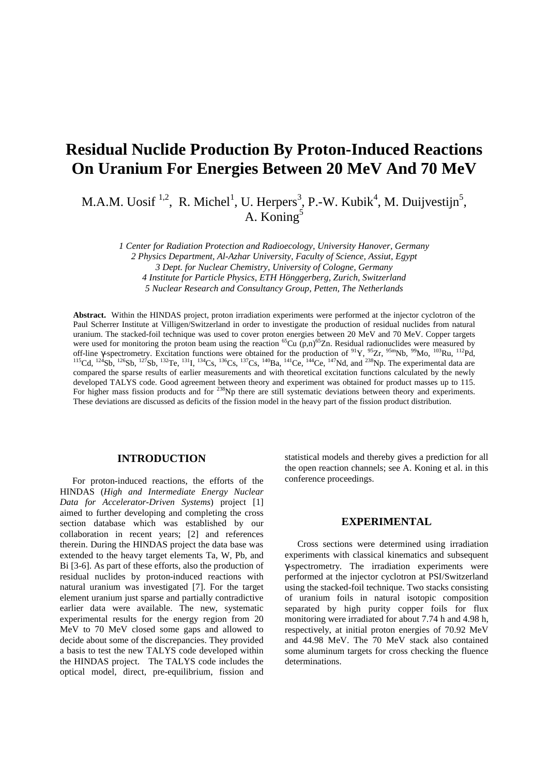# **Residual Nuclide Production By Proton-Induced Reactions On Uranium For Energies Between 20 MeV And 70 MeV**

M.A.M. Uosif<sup>1,2</sup>, R. Michel<sup>1</sup>, U. Herpers<sup>3</sup>, P.-W. Kubik<sup>4</sup>, M. Duijvestijn<sup>5</sup>, A. Koning<sup>5</sup>

*1 Center for Radiation Protection and Radioecology, University Hanover, Germany 2 Physics Department, Al-Azhar University, Faculty of Science, Assiut, Egypt 3 Dept. for Nuclear Chemistry, University of Cologne, Germany 4 Institute for Particle Physics, ETH Hönggerberg, Zurich, Switzerland*

*5 Nuclear Research and Consultancy Group, Petten, The Netherlands*

**Abstract.** Within the HINDAS project, proton irradiation experiments were performed at the injector cyclotron of the Paul Scherrer Institute at Villigen/Switzerland in order to investigate the production of residual nuclides from natural uranium. The stacked-foil technique was used to cover proton energies between 20 MeV and 70 MeV. Copper targets were used for monitoring the proton beam using the reaction <sup>65</sup>Cu (p,n)<sup>65</sup>Zn. Residual radionuclides were measured by off-line γ-spectrometry. Excitation functions were obtained for the production of <sup>91</sup>Y, <sup>95</sup>Zr, <sup>95m</sup>Nb, <sup>99</sup>Mo, <sup>103</sup>Ru, <sup>112</sup>Pd, <sup>115</sup>Cd, <sup>124</sup>Sb, <sup>126</sup>Sb, <sup>127</sup>Sb, <sup>132</sup>Te, <sup>131</sup>I, <sup>134</sup>Cs, <sup>136</sup>Cs, <sup>137</sup>Cs, <sup>140</sup>Ba, <sup>141</sup>Ce, <sup>144</sup>Ce, <sup>147</sup>Nd, and <sup>238</sup>Np. The experimental data are compared the sparse results of earlier measurements and with theoretical excitation functions calculated by the newly developed TALYS code. Good agreement between theory and experiment was obtained for product masses up to 115. For higher mass fission products and for <sup>238</sup>Np there are still systematic deviations between theory and experiments. These deviations are discussed as deficits of the fission model in the heavy part of the fission product distribution.

## **INTRODUCTION**

For proton-induced reactions, the efforts of the HINDAS (*High and Intermediate Energy Nuclear Data for Accelerator-Driven Systems*) project [1] aimed to further developing and completing the cross section database which was established by our collaboration in recent years; [2] and references therein. During the HINDAS project the data base was extended to the heavy target elements Ta, W, Pb, and Bi [3-6]. As part of these efforts, also the production of residual nuclides by proton-induced reactions with natural uranium was investigated [7]. For the target element uranium just sparse and partially contradictive earlier data were available. The new, systematic experimental results for the energy region from 20 MeV to 70 MeV closed some gaps and allowed to decide about some of the discrepancies. They provided a basis to test the new TALYS code developed within the HINDAS project. The TALYS code includes the optical model, direct, pre-equilibrium, fission and

statistical models and thereby gives a prediction for all the open reaction channels; see A. Koning et al. in this conference proceedings.

#### **EXPERIMENTAL**

Cross sections were determined using irradiation experiments with classical kinematics and subsequent γ-spectrometry. The irradiation experiments were performed at the injector cyclotron at PSI/Switzerland using the stacked-foil technique. Two stacks consisting of uranium foils in natural isotopic composition separated by high purity copper foils for flux monitoring were irradiated for about 7.74 h and 4.98 h, respectively, at initial proton energies of 70.92 MeV and 44.98 MeV. The 70 MeV stack also contained some aluminum targets for cross checking the fluence determinations.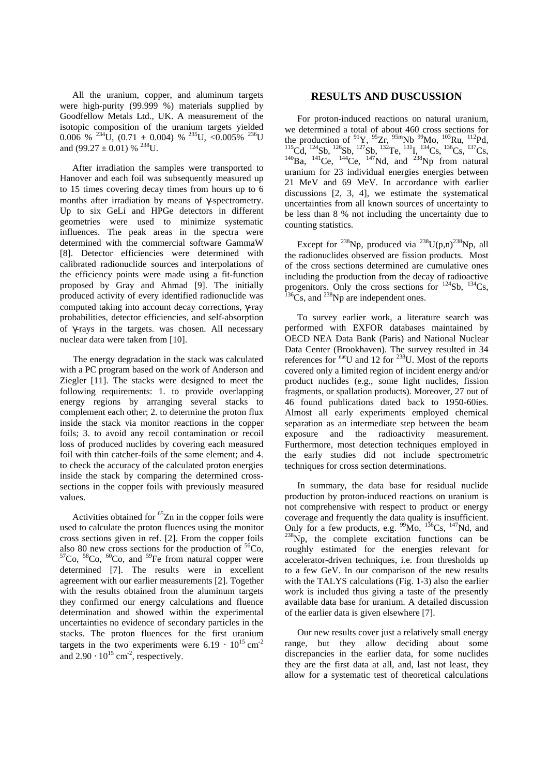All the uranium, copper, and aluminum targets were high-purity (99.999 %) materials supplied by Goodfellow Metals Ltd., UK. A measurement of the isotopic composition of the uranium targets yielded  $0.006 \%$  <sup>234</sup>U,  $(0.71 \pm 0.004)$  % <sup>235</sup>U, < $0.005\%$  <sup>236</sup>U and  $(99.27 \pm 0.01)$  % <sup>238</sup>U.

After irradiation the samples were transported to Hanover and each foil was subsequently measured up to 15 times covering decay times from hours up to 6 months after irradiation by means of γ-spectrometry. Up to six GeLi and HPGe detectors in different geometries were used to minimize systematic influences. The peak areas in the spectra were determined with the commercial software GammaW [8]. Detector efficiencies were determined with calibrated radionuclide sources and interpolations of the efficiency points were made using a fit-function proposed by Gray and Ahmad [9]. The initially produced activity of every identified radionuclide was computed taking into account decay corrections, γ-ray probabilities, detector efficiencies, and self-absorption of γ-rays in the targets. was chosen. All necessary nuclear data were taken from [10].

The energy degradation in the stack was calculated with a PC program based on the work of Anderson and Ziegler [11]. The stacks were designed to meet the following requirements: 1. to provide overlapping energy regions by arranging several stacks to complement each other; 2. to determine the proton flux inside the stack via monitor reactions in the copper foils; 3. to avoid any recoil contamination or recoil loss of produced nuclides by covering each measured foil with thin catcher-foils of the same element; and 4. to check the accuracy of the calculated proton energies inside the stack by comparing the determined crosssections in the copper foils with previously measured values.

Activities obtained for  ${}^{65}Zn$  in the copper foils were used to calculate the proton fluences using the monitor cross sections given in ref. [2]. From the copper foils also 80 new cross sections for the production of  ${}^{56}Co$ ,  ${}^{57}Co$ ,  ${}^{58}Co$ ,  ${}^{60}Co$ , and  ${}^{59}Fe$  from natural copper were determined [7]. The results were in excellent agreement with our earlier measurements [2]. Together with the results obtained from the aluminum targets they confirmed our energy calculations and fluence determination and showed within the experimental uncertainties no evidence of secondary particles in the stacks. The proton fluences for the first uranium targets in the two experiments were  $6.19 \cdot 10^{15}$  cm<sup>-2</sup> and  $2.90 \cdot 10^{15}$  cm<sup>-2</sup>, respectively.

# **RESULTS AND DUSCUSSION**

For proton-induced reactions on natural uranium, we determined a total of about 460 cross sections for the production of  $^{91}Y$ ,  $^{95}Zr$ ,  $^{95m}Nb$   $^{99}Mo$ ,  $^{103}Ru$ ,  $^{112}Pd$ ,  $^{115}$ Cd,  $^{124}$ Sb,  $^{126}$ Sb,  $^{127}$ Sb,  $^{132}$ Te,  $^{131}$ I,  $^{134}$ Cs,  $^{136}$ Cs,  $^{137}$ Cs,  $^{140}$ Ba,  $^{141}$ Ce,  $^{144}$ Ce,  $^{147}$ Nd, and  $^{238}$ Np from natural uranium for 23 individual energies energies between 21 MeV and 69 MeV. In accordance with earlier discussions [2, 3, 4], we estimate the systematical uncertainties from all known sources of uncertainty to be less than 8 % not including the uncertainty due to counting statistics.

Except for <sup>238</sup>Np, produced via <sup>238</sup>U(p,n)<sup>238</sup>Np, all the radionuclides observed are fission products. Most of the cross sections determined are cumulative ones including the production from the decay of radioactive progenitors. Only the cross sections for  $^{124}Sb$ ,  $^{134}Cs$ ,  $^{136}Cs$ , and  $^{238}Np$  are independent ones.

To survey earlier work, a literature search was performed with EXFOR databases maintained by OECD NEA Data Bank (Paris) and National Nuclear Data Center (Brookhaven). The survey resulted in 34 references for  $<sup>nati</sup>U$  and 12 for <sup>238</sup>U. Most of the reports</sup> covered only a limited region of incident energy and/or product nuclides (e.g., some light nuclides, fission fragments, or spallation products). Moreover, 27 out of 46 found publications dated back to 1950-60ies. Almost all early experiments employed chemical separation as an intermediate step between the beam exposure and the radioactivity measurement. Furthermore, most detection techniques employed in the early studies did not include spectrometric techniques for cross section determinations.

In summary, the data base for residual nuclide production by proton-induced reactions on uranium is not comprehensive with respect to product or energy coverage and frequently the data quality is insufficient. Only for a few products, e.g.  $\frac{99}{100}$   $\frac{136}{100}$ Cs,  $\frac{147}{100}$  and  $^{238}$ Np, the complete excitation functions can be roughly estimated for the energies relevant for accelerator-driven techniques, i.e. from thresholds up to a few GeV. In our comparison of the new results with the TALYS calculations (Fig. 1-3) also the earlier work is included thus giving a taste of the presently available data base for uranium. A detailed discussion of the earlier data is given elsewhere [7].

Our new results cover just a relatively small energy range, but they allow deciding about some discrepancies in the earlier data, for some nuclides they are the first data at all, and, last not least, they allow for a systematic test of theoretical calculations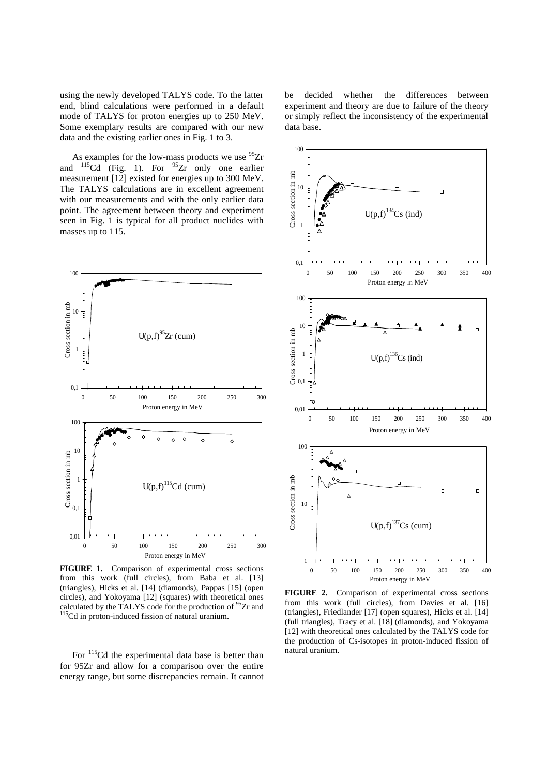using the newly developed TALYS code. To the latter end, blind calculations were performed in a default mode of TALYS for proton energies up to 250 MeV. Some exemplary results are compared with our new data and the existing earlier ones in Fig. 1 to 3.

As examples for the low-mass products we use  $^{95}Zr$ and  $115$ Cd (Fig. 1). For  $95$ Zr only one earlier measurement [12] existed for energies up to 300 MeV. The TALYS calculations are in excellent agreement with our measurements and with the only earlier data point. The agreement between theory and experiment seen in Fig. 1 is typical for all product nuclides with masses up to 115.



**FIGURE 1.** Comparison of experimental cross sections from this work (full circles), from Baba et al. [13] (triangles), Hicks et al. [14] (diamonds), Pappas [15] (open circles), and Yokoyama [12] (squares) with theoretical ones calculated by the TALYS code for the production of  $95Zr$  and <sup>115</sup>Cd in proton-induced fission of natural uranium.

For  $115$ Cd the experimental data base is better than for 95Zr and allow for a comparison over the entire energy range, but some discrepancies remain. It cannot be decided whether the differences between experiment and theory are due to failure of the theory or simply reflect the inconsistency of the experimental data base.



**FIGURE 2.** Comparison of experimental cross sections from this work (full circles), from Davies et al. [16] (triangles), Friedlander [17] (open squares), Hicks et al. [14] (full triangles), Tracy et al. [18] (diamonds), and Yokoyama [12] with theoretical ones calculated by the TALYS code for the production of Cs-isotopes in proton-induced fission of natural uranium.